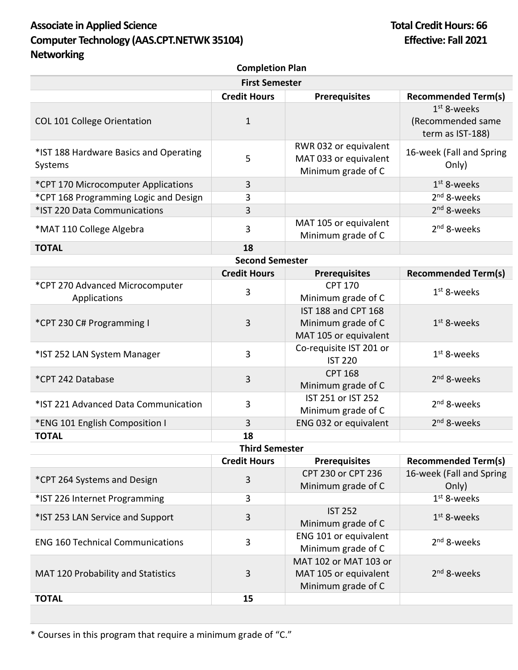## Associate in Applied Science **Total Credit Hours: 66 Computer Technology (AAS.CPT.NETWK 35104) Effective: Fall 2021 Networking**

| <b>Completion Plan</b>                            |                     |                                                                      |                                                        |  |  |
|---------------------------------------------------|---------------------|----------------------------------------------------------------------|--------------------------------------------------------|--|--|
| <b>First Semester</b>                             |                     |                                                                      |                                                        |  |  |
|                                                   | <b>Credit Hours</b> | <b>Prerequisites</b>                                                 | <b>Recommended Term(s)</b>                             |  |  |
| <b>COL 101 College Orientation</b>                | 1                   |                                                                      | $1st$ 8-weeks<br>(Recommended same<br>term as IST-188) |  |  |
| *IST 188 Hardware Basics and Operating<br>Systems | 5                   | RWR 032 or equivalent<br>MAT 033 or equivalent<br>Minimum grade of C | 16-week (Fall and Spring<br>Only)                      |  |  |
| *CPT 170 Microcomputer Applications               | 3                   |                                                                      | $1st$ 8-weeks                                          |  |  |
| *CPT 168 Programming Logic and Design             | 3                   |                                                                      | $2nd$ 8-weeks                                          |  |  |
| *IST 220 Data Communications                      | 3                   |                                                                      | $2nd$ 8-weeks                                          |  |  |
| *MAT 110 College Algebra                          | 3                   | MAT 105 or equivalent<br>Minimum grade of C                          | $2nd$ 8-weeks                                          |  |  |
| <b>TOTAL</b>                                      | 18                  |                                                                      |                                                        |  |  |

| <b>Second Semester</b>               |                     |                            |                            |  |  |
|--------------------------------------|---------------------|----------------------------|----------------------------|--|--|
|                                      | <b>Credit Hours</b> | <b>Prerequisites</b>       | <b>Recommended Term(s)</b> |  |  |
| *CPT 270 Advanced Microcomputer      | 3                   | <b>CPT 170</b>             | $1st$ 8-weeks              |  |  |
| Applications                         |                     | Minimum grade of C         |                            |  |  |
|                                      |                     | <b>IST 188 and CPT 168</b> |                            |  |  |
| *CPT 230 C# Programming I            | 3                   | Minimum grade of C         | $1st$ 8-weeks              |  |  |
|                                      |                     | MAT 105 or equivalent      |                            |  |  |
| *IST 252 LAN System Manager          | 3                   | Co-requisite IST 201 or    | $1st$ 8-weeks              |  |  |
|                                      |                     | <b>IST 220</b>             |                            |  |  |
| *CPT 242 Database                    | 3                   | <b>CPT 168</b>             | $2nd$ 8-weeks              |  |  |
|                                      |                     | Minimum grade of C         |                            |  |  |
| *IST 221 Advanced Data Communication | 3                   | IST 251 or IST 252         | $2nd$ 8-weeks              |  |  |
|                                      |                     | Minimum grade of C         |                            |  |  |
| *ENG 101 English Composition I       | 3                   | ENG 032 or equivalent      | $2nd$ 8-weeks              |  |  |
| <b>TOTAL</b>                         | 18                  |                            |                            |  |  |

| <b>Third Semester</b>                   |                     |                                                                      |                                   |  |  |
|-----------------------------------------|---------------------|----------------------------------------------------------------------|-----------------------------------|--|--|
|                                         | <b>Credit Hours</b> | <b>Prerequisites</b>                                                 | <b>Recommended Term(s)</b>        |  |  |
| *CPT 264 Systems and Design             | 3                   | CPT 230 or CPT 236<br>Minimum grade of C                             | 16-week (Fall and Spring<br>Only) |  |  |
| *IST 226 Internet Programming           | 3                   |                                                                      | $1st$ 8-weeks                     |  |  |
| *IST 253 LAN Service and Support        | 3                   | <b>IST 252</b><br>Minimum grade of C                                 | $1st$ 8-weeks                     |  |  |
| <b>ENG 160 Technical Communications</b> | 3                   | ENG 101 or equivalent<br>Minimum grade of C                          | $2nd$ 8-weeks                     |  |  |
| MAT 120 Probability and Statistics      | 3                   | MAT 102 or MAT 103 or<br>MAT 105 or equivalent<br>Minimum grade of C | $2nd$ 8-weeks                     |  |  |
| <b>TOTAL</b>                            | 15                  |                                                                      |                                   |  |  |
|                                         |                     |                                                                      |                                   |  |  |

\* Courses in this program that require a minimum grade of "C."